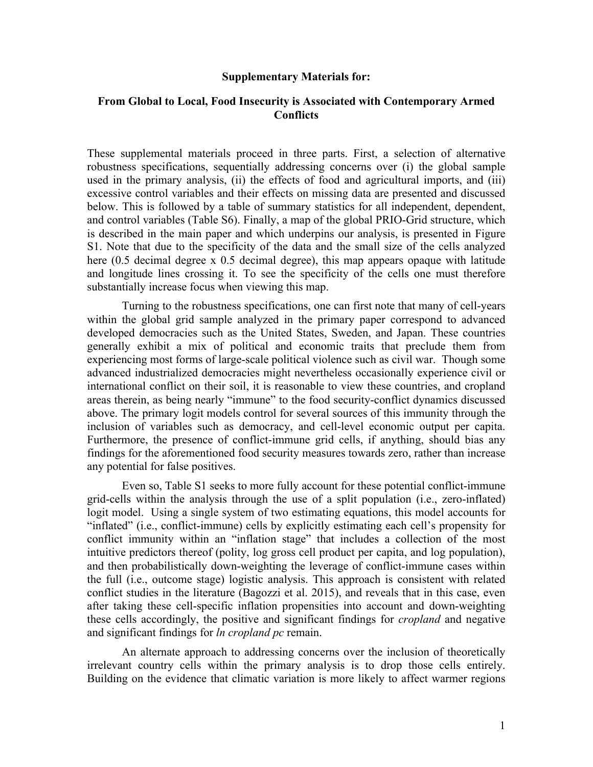#### **Supplementary Materials for:**

#### **From Global to Local, Food Insecurity is Associated with Contemporary Armed Conflicts**

These supplemental materials proceed in three parts. First, a selection of alternative robustness specifications, sequentially addressing concerns over (i) the global sample used in the primary analysis, (ii) the effects of food and agricultural imports, and (iii) excessive control variables and their effects on missing data are presented and discussed below. This is followed by a table of summary statistics for all independent, dependent, and control variables (Table S6). Finally, a map of the global PRIO-Grid structure, which is described in the main paper and which underpins our analysis, is presented in Figure S1. Note that due to the specificity of the data and the small size of the cells analyzed here (0.5 decimal degree x 0.5 decimal degree), this map appears opaque with latitude and longitude lines crossing it. To see the specificity of the cells one must therefore substantially increase focus when viewing this map.

Turning to the robustness specifications, one can first note that many of cell-years within the global grid sample analyzed in the primary paper correspond to advanced developed democracies such as the United States, Sweden, and Japan. These countries generally exhibit a mix of political and economic traits that preclude them from experiencing most forms of large-scale political violence such as civil war. Though some advanced industrialized democracies might nevertheless occasionally experience civil or international conflict on their soil, it is reasonable to view these countries, and cropland areas therein, as being nearly "immune" to the food security-conflict dynamics discussed above. The primary logit models control for several sources of this immunity through the inclusion of variables such as democracy, and cell-level economic output per capita. Furthermore, the presence of conflict-immune grid cells, if anything, should bias any findings for the aforementioned food security measures towards zero, rather than increase any potential for false positives.

Even so, Table S1 seeks to more fully account for these potential conflict-immune grid-cells within the analysis through the use of a split population (i.e., zero-inflated) logit model. Using a single system of two estimating equations, this model accounts for "inflated" (i.e., conflict-immune) cells by explicitly estimating each cell's propensity for conflict immunity within an "inflation stage" that includes a collection of the most intuitive predictors thereof (polity, log gross cell product per capita, and log population), and then probabilistically down-weighting the leverage of conflict-immune cases within the full (i.e., outcome stage) logistic analysis. This approach is consistent with related conflict studies in the literature (Bagozzi et al. 2015), and reveals that in this case, even after taking these cell-specific inflation propensities into account and down-weighting these cells accordingly, the positive and significant findings for *cropland* and negative and significant findings for *ln cropland pc* remain.

An alternate approach to addressing concerns over the inclusion of theoretically irrelevant country cells within the primary analysis is to drop those cells entirely. Building on the evidence that climatic variation is more likely to affect warmer regions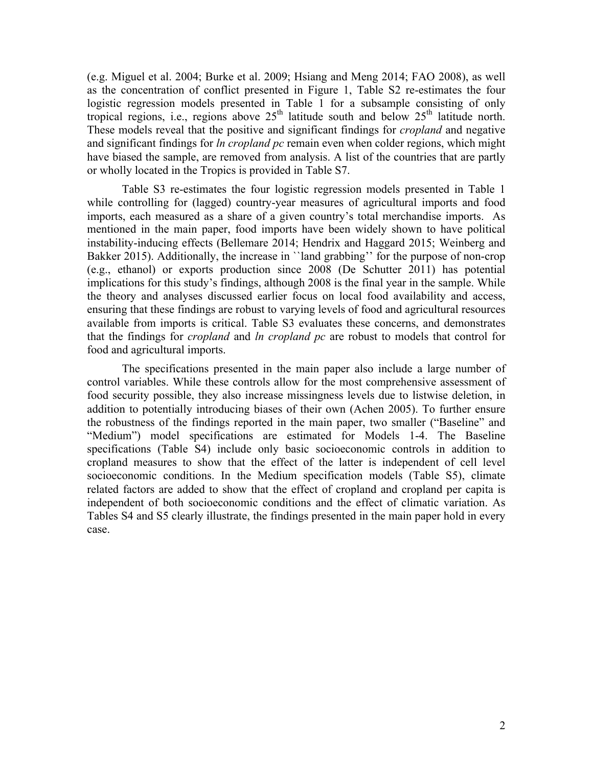(e.g. Miguel et al. 2004; Burke et al. 2009; Hsiang and Meng 2014; FAO 2008), as well as the concentration of conflict presented in Figure 1, Table S2 re-estimates the four logistic regression models presented in Table 1 for a subsample consisting of only tropical regions, i.e., regions above  $25<sup>th</sup>$  latitude south and below  $25<sup>th</sup>$  latitude north. These models reveal that the positive and significant findings for *cropland* and negative and significant findings for *ln cropland pc* remain even when colder regions, which might have biased the sample, are removed from analysis. A list of the countries that are partly or wholly located in the Tropics is provided in Table S7.

Table S3 re-estimates the four logistic regression models presented in Table 1 while controlling for (lagged) country-year measures of agricultural imports and food imports, each measured as a share of a given country's total merchandise imports. As mentioned in the main paper, food imports have been widely shown to have political instability-inducing effects (Bellemare 2014; Hendrix and Haggard 2015; Weinberg and Bakker 2015). Additionally, the increase in ''land grabbing'' for the purpose of non-crop (e.g., ethanol) or exports production since 2008 (De Schutter 2011) has potential implications for this study's findings, although 2008 is the final year in the sample. While the theory and analyses discussed earlier focus on local food availability and access, ensuring that these findings are robust to varying levels of food and agricultural resources available from imports is critical. Table S3 evaluates these concerns, and demonstrates that the findings for *cropland* and *ln cropland pc* are robust to models that control for food and agricultural imports.

The specifications presented in the main paper also include a large number of control variables. While these controls allow for the most comprehensive assessment of food security possible, they also increase missingness levels due to listwise deletion, in addition to potentially introducing biases of their own (Achen 2005). To further ensure the robustness of the findings reported in the main paper, two smaller ("Baseline" and "Medium") model specifications are estimated for Models 1-4. The Baseline specifications (Table S4) include only basic socioeconomic controls in addition to cropland measures to show that the effect of the latter is independent of cell level socioeconomic conditions. In the Medium specification models (Table S5), climate related factors are added to show that the effect of cropland and cropland per capita is independent of both socioeconomic conditions and the effect of climatic variation. As Tables S4 and S5 clearly illustrate, the findings presented in the main paper hold in every case.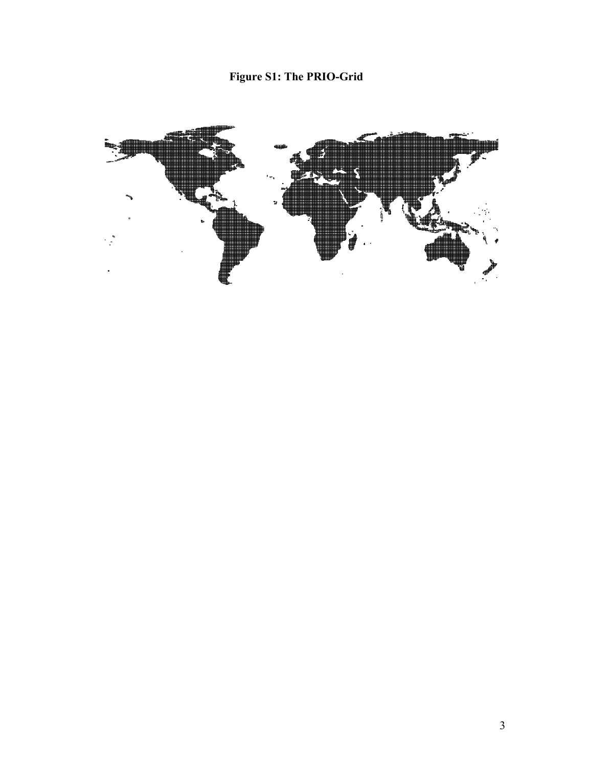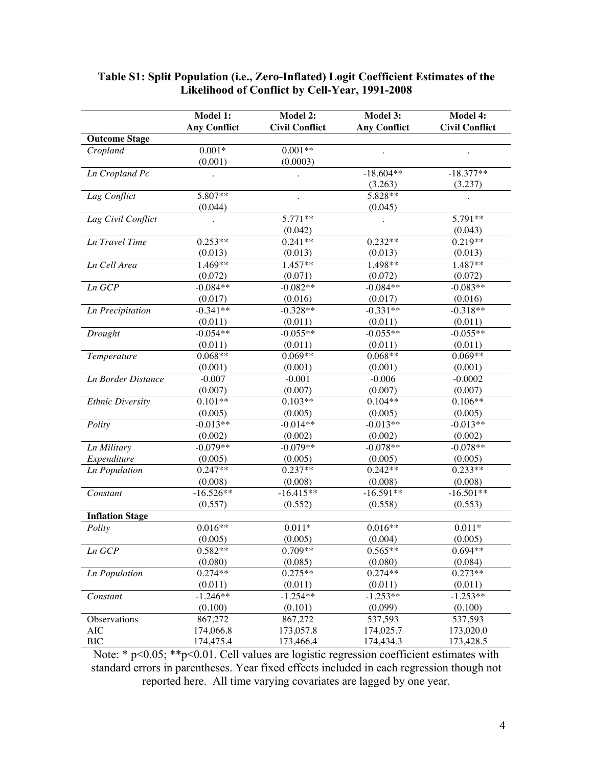| <b>Civil Conflict</b><br><b>Any Conflict</b><br><b>Civil Conflict</b><br><b>Any Conflict</b><br><b>Outcome Stage</b><br>$0.001**$<br>$0.001*$<br>Cropland<br>(0.001)<br>(0.0003)<br>$-18.377**$<br>$-18.604**$<br><b>Ln</b> Cropland Pc<br>(3.263)<br>(3.237)<br>$5.807**$<br>5.828**<br>Lag Conflict<br>(0.044)<br>(0.045)<br>$5.771**$<br>5.791**<br>Lag Civil Conflict<br>(0.042)<br>(0.043)<br>$0.253**$<br>$0.232**$<br>$0.219**$<br>$0.241**$<br><b>Ln Travel Time</b><br>(0.013)<br>(0.013)<br>(0.013)<br>(0.013)<br>$1.457**$<br>1.498**<br>1.487**<br>1.469**<br>Ln Cell Area<br>(0.072)<br>(0.071)<br>(0.072)<br>(0.072)<br>$-0.084**$<br>$-0.082**$<br>$-0.084**$<br>$-0.083**$<br>Ln GCP<br>(0.017)<br>(0.017)<br>(0.016)<br>(0.016)<br>$-0.318**$<br>$-0.341**$<br>$-0.328**$<br>$-0.331**$<br><b>Ln</b> Precipitation<br>(0.011)<br>(0.011)<br>(0.011)<br>(0.011)<br>$-0.055**$<br>$-0.055**$<br>$-0.054**$<br>$-0.055**$<br>Drought<br>(0.011)<br>(0.011)<br>(0.011)<br>(0.011)<br>$0.068**$<br>$0.069**$<br>$0.068**$<br>$0.069**$<br>Temperature<br>(0.001)<br>(0.001)<br>(0.001)<br>(0.001)<br><b>Ln</b> Border Distance<br>$-0.007$<br>$-0.001$<br>$-0.0002$<br>$-0.006$<br>(0.007)<br>(0.007)<br>(0.007)<br>(0.007)<br>$0.101**$<br>$0.103**$<br>$0.104**$<br>$0.106**$<br><b>Ethnic Diversity</b><br>(0.005)<br>(0.005)<br>(0.005)<br>(0.005)<br>$-0.013**$<br>$-0.014**$<br>$-0.013**$<br>$-0.013**$<br>Polity<br>(0.002)<br>(0.002)<br>(0.002)<br>(0.002)<br>$-0.079**$<br>$-0.079**$<br>$-0.078**$<br>$-0.078**$<br>Ln Military<br>Expenditure<br>(0.005)<br>(0.005)<br>(0.005)<br>(0.005)<br>$0.247**$<br>$0.237**$<br>$0.242**$<br>$0.233**$<br><b>Ln Population</b><br>(0.008)<br>(0.008)<br>(0.008)<br>(0.008)<br>$-16.415**$<br>$-16.501**$<br>$-16.526**$<br>$-16.591**$<br>Constant<br>(0.552)<br>(0.557)<br>(0.558)<br>(0.553)<br><b>Inflation Stage</b><br>$0.016**$<br>$0.011*$<br>$0.016**$<br>$0.011*$<br>Polity<br>(0.005)<br>(0.005)<br>(0.004)<br>(0.005)<br>0.709**<br>$0.694**$<br>0.582**<br>$0.565**$<br>Ln GCP<br>(0.085)<br>(0.084)<br>(0.080)<br>(0.080)<br>$0.274**$<br>$0.275**$<br>$0.274**$<br>$0.273**$<br><b>Ln</b> Population<br>(0.011)<br>(0.011)<br>(0.011)<br>(0.011)<br>$-1.246**$<br>$-1.254**$<br>$-1.253**$<br>$-1.253**$<br>Constant<br>(0.100)<br>(0.101)<br>(0.099)<br>(0.100)<br>867,272<br>867,272<br>537,593<br>537,593<br>Observations<br><b>AIC</b><br>174,066.8<br>173,057.8<br>174,025.7<br>173,020.0 | Model 1: | Model 2: | Model 3: | Model 4: |
|------------------------------------------------------------------------------------------------------------------------------------------------------------------------------------------------------------------------------------------------------------------------------------------------------------------------------------------------------------------------------------------------------------------------------------------------------------------------------------------------------------------------------------------------------------------------------------------------------------------------------------------------------------------------------------------------------------------------------------------------------------------------------------------------------------------------------------------------------------------------------------------------------------------------------------------------------------------------------------------------------------------------------------------------------------------------------------------------------------------------------------------------------------------------------------------------------------------------------------------------------------------------------------------------------------------------------------------------------------------------------------------------------------------------------------------------------------------------------------------------------------------------------------------------------------------------------------------------------------------------------------------------------------------------------------------------------------------------------------------------------------------------------------------------------------------------------------------------------------------------------------------------------------------------------------------------------------------------------------------------------------------------------------------------------------------------------------------------------------------------------------------------------------------------------------------------------------------------------------------------------------------------------------------------------------------------------------------------------------------------------------------------------------------------------------------------------------------------------|----------|----------|----------|----------|
|                                                                                                                                                                                                                                                                                                                                                                                                                                                                                                                                                                                                                                                                                                                                                                                                                                                                                                                                                                                                                                                                                                                                                                                                                                                                                                                                                                                                                                                                                                                                                                                                                                                                                                                                                                                                                                                                                                                                                                                                                                                                                                                                                                                                                                                                                                                                                                                                                                                                              |          |          |          |          |
|                                                                                                                                                                                                                                                                                                                                                                                                                                                                                                                                                                                                                                                                                                                                                                                                                                                                                                                                                                                                                                                                                                                                                                                                                                                                                                                                                                                                                                                                                                                                                                                                                                                                                                                                                                                                                                                                                                                                                                                                                                                                                                                                                                                                                                                                                                                                                                                                                                                                              |          |          |          |          |
|                                                                                                                                                                                                                                                                                                                                                                                                                                                                                                                                                                                                                                                                                                                                                                                                                                                                                                                                                                                                                                                                                                                                                                                                                                                                                                                                                                                                                                                                                                                                                                                                                                                                                                                                                                                                                                                                                                                                                                                                                                                                                                                                                                                                                                                                                                                                                                                                                                                                              |          |          |          |          |
|                                                                                                                                                                                                                                                                                                                                                                                                                                                                                                                                                                                                                                                                                                                                                                                                                                                                                                                                                                                                                                                                                                                                                                                                                                                                                                                                                                                                                                                                                                                                                                                                                                                                                                                                                                                                                                                                                                                                                                                                                                                                                                                                                                                                                                                                                                                                                                                                                                                                              |          |          |          |          |
|                                                                                                                                                                                                                                                                                                                                                                                                                                                                                                                                                                                                                                                                                                                                                                                                                                                                                                                                                                                                                                                                                                                                                                                                                                                                                                                                                                                                                                                                                                                                                                                                                                                                                                                                                                                                                                                                                                                                                                                                                                                                                                                                                                                                                                                                                                                                                                                                                                                                              |          |          |          |          |
|                                                                                                                                                                                                                                                                                                                                                                                                                                                                                                                                                                                                                                                                                                                                                                                                                                                                                                                                                                                                                                                                                                                                                                                                                                                                                                                                                                                                                                                                                                                                                                                                                                                                                                                                                                                                                                                                                                                                                                                                                                                                                                                                                                                                                                                                                                                                                                                                                                                                              |          |          |          |          |
|                                                                                                                                                                                                                                                                                                                                                                                                                                                                                                                                                                                                                                                                                                                                                                                                                                                                                                                                                                                                                                                                                                                                                                                                                                                                                                                                                                                                                                                                                                                                                                                                                                                                                                                                                                                                                                                                                                                                                                                                                                                                                                                                                                                                                                                                                                                                                                                                                                                                              |          |          |          |          |
|                                                                                                                                                                                                                                                                                                                                                                                                                                                                                                                                                                                                                                                                                                                                                                                                                                                                                                                                                                                                                                                                                                                                                                                                                                                                                                                                                                                                                                                                                                                                                                                                                                                                                                                                                                                                                                                                                                                                                                                                                                                                                                                                                                                                                                                                                                                                                                                                                                                                              |          |          |          |          |
|                                                                                                                                                                                                                                                                                                                                                                                                                                                                                                                                                                                                                                                                                                                                                                                                                                                                                                                                                                                                                                                                                                                                                                                                                                                                                                                                                                                                                                                                                                                                                                                                                                                                                                                                                                                                                                                                                                                                                                                                                                                                                                                                                                                                                                                                                                                                                                                                                                                                              |          |          |          |          |
|                                                                                                                                                                                                                                                                                                                                                                                                                                                                                                                                                                                                                                                                                                                                                                                                                                                                                                                                                                                                                                                                                                                                                                                                                                                                                                                                                                                                                                                                                                                                                                                                                                                                                                                                                                                                                                                                                                                                                                                                                                                                                                                                                                                                                                                                                                                                                                                                                                                                              |          |          |          |          |
|                                                                                                                                                                                                                                                                                                                                                                                                                                                                                                                                                                                                                                                                                                                                                                                                                                                                                                                                                                                                                                                                                                                                                                                                                                                                                                                                                                                                                                                                                                                                                                                                                                                                                                                                                                                                                                                                                                                                                                                                                                                                                                                                                                                                                                                                                                                                                                                                                                                                              |          |          |          |          |
|                                                                                                                                                                                                                                                                                                                                                                                                                                                                                                                                                                                                                                                                                                                                                                                                                                                                                                                                                                                                                                                                                                                                                                                                                                                                                                                                                                                                                                                                                                                                                                                                                                                                                                                                                                                                                                                                                                                                                                                                                                                                                                                                                                                                                                                                                                                                                                                                                                                                              |          |          |          |          |
|                                                                                                                                                                                                                                                                                                                                                                                                                                                                                                                                                                                                                                                                                                                                                                                                                                                                                                                                                                                                                                                                                                                                                                                                                                                                                                                                                                                                                                                                                                                                                                                                                                                                                                                                                                                                                                                                                                                                                                                                                                                                                                                                                                                                                                                                                                                                                                                                                                                                              |          |          |          |          |
|                                                                                                                                                                                                                                                                                                                                                                                                                                                                                                                                                                                                                                                                                                                                                                                                                                                                                                                                                                                                                                                                                                                                                                                                                                                                                                                                                                                                                                                                                                                                                                                                                                                                                                                                                                                                                                                                                                                                                                                                                                                                                                                                                                                                                                                                                                                                                                                                                                                                              |          |          |          |          |
|                                                                                                                                                                                                                                                                                                                                                                                                                                                                                                                                                                                                                                                                                                                                                                                                                                                                                                                                                                                                                                                                                                                                                                                                                                                                                                                                                                                                                                                                                                                                                                                                                                                                                                                                                                                                                                                                                                                                                                                                                                                                                                                                                                                                                                                                                                                                                                                                                                                                              |          |          |          |          |
|                                                                                                                                                                                                                                                                                                                                                                                                                                                                                                                                                                                                                                                                                                                                                                                                                                                                                                                                                                                                                                                                                                                                                                                                                                                                                                                                                                                                                                                                                                                                                                                                                                                                                                                                                                                                                                                                                                                                                                                                                                                                                                                                                                                                                                                                                                                                                                                                                                                                              |          |          |          |          |
|                                                                                                                                                                                                                                                                                                                                                                                                                                                                                                                                                                                                                                                                                                                                                                                                                                                                                                                                                                                                                                                                                                                                                                                                                                                                                                                                                                                                                                                                                                                                                                                                                                                                                                                                                                                                                                                                                                                                                                                                                                                                                                                                                                                                                                                                                                                                                                                                                                                                              |          |          |          |          |
|                                                                                                                                                                                                                                                                                                                                                                                                                                                                                                                                                                                                                                                                                                                                                                                                                                                                                                                                                                                                                                                                                                                                                                                                                                                                                                                                                                                                                                                                                                                                                                                                                                                                                                                                                                                                                                                                                                                                                                                                                                                                                                                                                                                                                                                                                                                                                                                                                                                                              |          |          |          |          |
|                                                                                                                                                                                                                                                                                                                                                                                                                                                                                                                                                                                                                                                                                                                                                                                                                                                                                                                                                                                                                                                                                                                                                                                                                                                                                                                                                                                                                                                                                                                                                                                                                                                                                                                                                                                                                                                                                                                                                                                                                                                                                                                                                                                                                                                                                                                                                                                                                                                                              |          |          |          |          |
|                                                                                                                                                                                                                                                                                                                                                                                                                                                                                                                                                                                                                                                                                                                                                                                                                                                                                                                                                                                                                                                                                                                                                                                                                                                                                                                                                                                                                                                                                                                                                                                                                                                                                                                                                                                                                                                                                                                                                                                                                                                                                                                                                                                                                                                                                                                                                                                                                                                                              |          |          |          |          |
|                                                                                                                                                                                                                                                                                                                                                                                                                                                                                                                                                                                                                                                                                                                                                                                                                                                                                                                                                                                                                                                                                                                                                                                                                                                                                                                                                                                                                                                                                                                                                                                                                                                                                                                                                                                                                                                                                                                                                                                                                                                                                                                                                                                                                                                                                                                                                                                                                                                                              |          |          |          |          |
|                                                                                                                                                                                                                                                                                                                                                                                                                                                                                                                                                                                                                                                                                                                                                                                                                                                                                                                                                                                                                                                                                                                                                                                                                                                                                                                                                                                                                                                                                                                                                                                                                                                                                                                                                                                                                                                                                                                                                                                                                                                                                                                                                                                                                                                                                                                                                                                                                                                                              |          |          |          |          |
|                                                                                                                                                                                                                                                                                                                                                                                                                                                                                                                                                                                                                                                                                                                                                                                                                                                                                                                                                                                                                                                                                                                                                                                                                                                                                                                                                                                                                                                                                                                                                                                                                                                                                                                                                                                                                                                                                                                                                                                                                                                                                                                                                                                                                                                                                                                                                                                                                                                                              |          |          |          |          |
|                                                                                                                                                                                                                                                                                                                                                                                                                                                                                                                                                                                                                                                                                                                                                                                                                                                                                                                                                                                                                                                                                                                                                                                                                                                                                                                                                                                                                                                                                                                                                                                                                                                                                                                                                                                                                                                                                                                                                                                                                                                                                                                                                                                                                                                                                                                                                                                                                                                                              |          |          |          |          |
|                                                                                                                                                                                                                                                                                                                                                                                                                                                                                                                                                                                                                                                                                                                                                                                                                                                                                                                                                                                                                                                                                                                                                                                                                                                                                                                                                                                                                                                                                                                                                                                                                                                                                                                                                                                                                                                                                                                                                                                                                                                                                                                                                                                                                                                                                                                                                                                                                                                                              |          |          |          |          |
|                                                                                                                                                                                                                                                                                                                                                                                                                                                                                                                                                                                                                                                                                                                                                                                                                                                                                                                                                                                                                                                                                                                                                                                                                                                                                                                                                                                                                                                                                                                                                                                                                                                                                                                                                                                                                                                                                                                                                                                                                                                                                                                                                                                                                                                                                                                                                                                                                                                                              |          |          |          |          |
|                                                                                                                                                                                                                                                                                                                                                                                                                                                                                                                                                                                                                                                                                                                                                                                                                                                                                                                                                                                                                                                                                                                                                                                                                                                                                                                                                                                                                                                                                                                                                                                                                                                                                                                                                                                                                                                                                                                                                                                                                                                                                                                                                                                                                                                                                                                                                                                                                                                                              |          |          |          |          |
|                                                                                                                                                                                                                                                                                                                                                                                                                                                                                                                                                                                                                                                                                                                                                                                                                                                                                                                                                                                                                                                                                                                                                                                                                                                                                                                                                                                                                                                                                                                                                                                                                                                                                                                                                                                                                                                                                                                                                                                                                                                                                                                                                                                                                                                                                                                                                                                                                                                                              |          |          |          |          |
|                                                                                                                                                                                                                                                                                                                                                                                                                                                                                                                                                                                                                                                                                                                                                                                                                                                                                                                                                                                                                                                                                                                                                                                                                                                                                                                                                                                                                                                                                                                                                                                                                                                                                                                                                                                                                                                                                                                                                                                                                                                                                                                                                                                                                                                                                                                                                                                                                                                                              |          |          |          |          |
|                                                                                                                                                                                                                                                                                                                                                                                                                                                                                                                                                                                                                                                                                                                                                                                                                                                                                                                                                                                                                                                                                                                                                                                                                                                                                                                                                                                                                                                                                                                                                                                                                                                                                                                                                                                                                                                                                                                                                                                                                                                                                                                                                                                                                                                                                                                                                                                                                                                                              |          |          |          |          |
|                                                                                                                                                                                                                                                                                                                                                                                                                                                                                                                                                                                                                                                                                                                                                                                                                                                                                                                                                                                                                                                                                                                                                                                                                                                                                                                                                                                                                                                                                                                                                                                                                                                                                                                                                                                                                                                                                                                                                                                                                                                                                                                                                                                                                                                                                                                                                                                                                                                                              |          |          |          |          |
|                                                                                                                                                                                                                                                                                                                                                                                                                                                                                                                                                                                                                                                                                                                                                                                                                                                                                                                                                                                                                                                                                                                                                                                                                                                                                                                                                                                                                                                                                                                                                                                                                                                                                                                                                                                                                                                                                                                                                                                                                                                                                                                                                                                                                                                                                                                                                                                                                                                                              |          |          |          |          |
|                                                                                                                                                                                                                                                                                                                                                                                                                                                                                                                                                                                                                                                                                                                                                                                                                                                                                                                                                                                                                                                                                                                                                                                                                                                                                                                                                                                                                                                                                                                                                                                                                                                                                                                                                                                                                                                                                                                                                                                                                                                                                                                                                                                                                                                                                                                                                                                                                                                                              |          |          |          |          |
|                                                                                                                                                                                                                                                                                                                                                                                                                                                                                                                                                                                                                                                                                                                                                                                                                                                                                                                                                                                                                                                                                                                                                                                                                                                                                                                                                                                                                                                                                                                                                                                                                                                                                                                                                                                                                                                                                                                                                                                                                                                                                                                                                                                                                                                                                                                                                                                                                                                                              |          |          |          |          |
|                                                                                                                                                                                                                                                                                                                                                                                                                                                                                                                                                                                                                                                                                                                                                                                                                                                                                                                                                                                                                                                                                                                                                                                                                                                                                                                                                                                                                                                                                                                                                                                                                                                                                                                                                                                                                                                                                                                                                                                                                                                                                                                                                                                                                                                                                                                                                                                                                                                                              |          |          |          |          |
|                                                                                                                                                                                                                                                                                                                                                                                                                                                                                                                                                                                                                                                                                                                                                                                                                                                                                                                                                                                                                                                                                                                                                                                                                                                                                                                                                                                                                                                                                                                                                                                                                                                                                                                                                                                                                                                                                                                                                                                                                                                                                                                                                                                                                                                                                                                                                                                                                                                                              |          |          |          |          |
|                                                                                                                                                                                                                                                                                                                                                                                                                                                                                                                                                                                                                                                                                                                                                                                                                                                                                                                                                                                                                                                                                                                                                                                                                                                                                                                                                                                                                                                                                                                                                                                                                                                                                                                                                                                                                                                                                                                                                                                                                                                                                                                                                                                                                                                                                                                                                                                                                                                                              |          |          |          |          |
|                                                                                                                                                                                                                                                                                                                                                                                                                                                                                                                                                                                                                                                                                                                                                                                                                                                                                                                                                                                                                                                                                                                                                                                                                                                                                                                                                                                                                                                                                                                                                                                                                                                                                                                                                                                                                                                                                                                                                                                                                                                                                                                                                                                                                                                                                                                                                                                                                                                                              |          |          |          |          |
|                                                                                                                                                                                                                                                                                                                                                                                                                                                                                                                                                                                                                                                                                                                                                                                                                                                                                                                                                                                                                                                                                                                                                                                                                                                                                                                                                                                                                                                                                                                                                                                                                                                                                                                                                                                                                                                                                                                                                                                                                                                                                                                                                                                                                                                                                                                                                                                                                                                                              |          |          |          |          |
|                                                                                                                                                                                                                                                                                                                                                                                                                                                                                                                                                                                                                                                                                                                                                                                                                                                                                                                                                                                                                                                                                                                                                                                                                                                                                                                                                                                                                                                                                                                                                                                                                                                                                                                                                                                                                                                                                                                                                                                                                                                                                                                                                                                                                                                                                                                                                                                                                                                                              |          |          |          |          |
|                                                                                                                                                                                                                                                                                                                                                                                                                                                                                                                                                                                                                                                                                                                                                                                                                                                                                                                                                                                                                                                                                                                                                                                                                                                                                                                                                                                                                                                                                                                                                                                                                                                                                                                                                                                                                                                                                                                                                                                                                                                                                                                                                                                                                                                                                                                                                                                                                                                                              |          |          |          |          |
|                                                                                                                                                                                                                                                                                                                                                                                                                                                                                                                                                                                                                                                                                                                                                                                                                                                                                                                                                                                                                                                                                                                                                                                                                                                                                                                                                                                                                                                                                                                                                                                                                                                                                                                                                                                                                                                                                                                                                                                                                                                                                                                                                                                                                                                                                                                                                                                                                                                                              |          |          |          |          |
|                                                                                                                                                                                                                                                                                                                                                                                                                                                                                                                                                                                                                                                                                                                                                                                                                                                                                                                                                                                                                                                                                                                                                                                                                                                                                                                                                                                                                                                                                                                                                                                                                                                                                                                                                                                                                                                                                                                                                                                                                                                                                                                                                                                                                                                                                                                                                                                                                                                                              |          |          |          |          |
|                                                                                                                                                                                                                                                                                                                                                                                                                                                                                                                                                                                                                                                                                                                                                                                                                                                                                                                                                                                                                                                                                                                                                                                                                                                                                                                                                                                                                                                                                                                                                                                                                                                                                                                                                                                                                                                                                                                                                                                                                                                                                                                                                                                                                                                                                                                                                                                                                                                                              |          |          |          |          |
| <b>BIC</b><br>174,475.4<br>173,466.4<br>174,434.3<br>173,428.5                                                                                                                                                                                                                                                                                                                                                                                                                                                                                                                                                                                                                                                                                                                                                                                                                                                                                                                                                                                                                                                                                                                                                                                                                                                                                                                                                                                                                                                                                                                                                                                                                                                                                                                                                                                                                                                                                                                                                                                                                                                                                                                                                                                                                                                                                                                                                                                                               |          |          |          |          |

# **Table S1: Split Population (i.e., Zero-Inflated) Logit Coefficient Estimates of the Likelihood of Conflict by Cell-Year, 1991-2008**

Note: \* p<0.05; \*\*p<0.01. Cell values are logistic regression coefficient estimates with standard errors in parentheses. Year fixed effects included in each regression though not reported here. All time varying covariates are lagged by one year.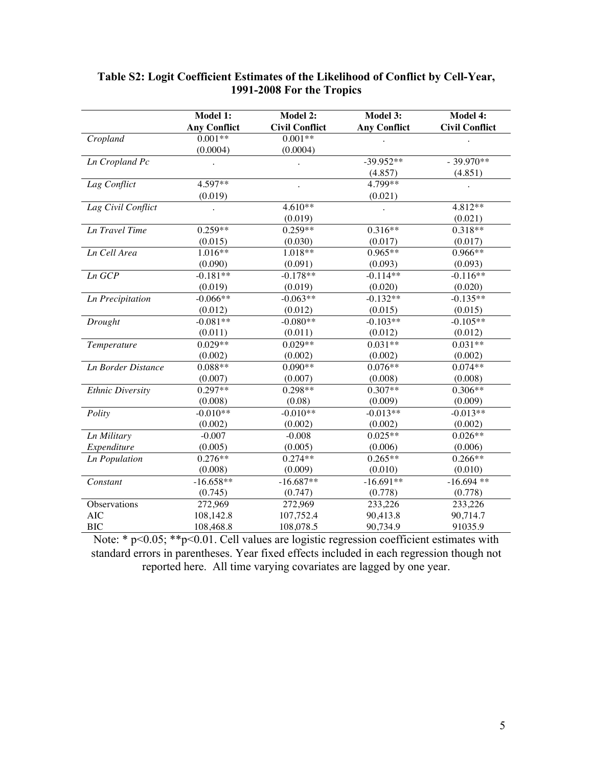|                           | Model 1:            | Model 2:              | Model 3:            | Model 4:              |
|---------------------------|---------------------|-----------------------|---------------------|-----------------------|
|                           | <b>Any Conflict</b> | <b>Civil Conflict</b> | <b>Any Conflict</b> | <b>Civil Conflict</b> |
| Cropland                  | $0.001**$           | $0.001**$             |                     |                       |
|                           | (0.0004)            | (0.0004)              |                     |                       |
| <b>Ln</b> Cropland Pc     |                     |                       | $-39.952**$         | $-39.970**$           |
|                           |                     |                       | (4.857)             | (4.851)               |
| Lag Conflict              | $4.597**$           |                       | $4.799**$           |                       |
|                           | (0.019)             |                       | (0.021)             |                       |
| Lag Civil Conflict        |                     | 4.610**               |                     | 4.812**               |
|                           |                     | (0.019)               |                     | (0.021)               |
| <b>Ln</b> Travel Time     | $0.259**$           | $0.259**$             | $0.316**$           | $0.318**$             |
|                           | (0.015)             | (0.030)               | (0.017)             | (0.017)               |
| Ln Cell Area              | $1.016**$           | 1.018**               | $0.965**$           | 0.966**               |
|                           | (0.090)             | (0.091)               | (0.093)             | (0.093)               |
| Ln GCP                    | $-0.181**$          | $-0.178**$            | $-0.114**$          | $-0.116**$            |
|                           | (0.019)             | (0.019)               | (0.020)             | (0.020)               |
| <b>Ln</b> Precipitation   | $-0.066**$          | $-0.063**$            | $-0.132**$          | $-0.135**$            |
|                           | (0.012)             | (0.012)               | (0.015)             | (0.015)               |
| Drought                   | $-0.081**$          | $-0.080**$            | $-0.103**$          | $-0.105**$            |
|                           | (0.011)             | (0.011)               | (0.012)             | (0.012)               |
| Temperature               | $0.029**$           | $0.029**$             | $0.031**$           | $0.031**$             |
|                           | (0.002)             | (0.002)               | (0.002)             | (0.002)               |
| <b>Ln Border Distance</b> | 0.088**             | $0.090**$             | $0.076**$           | $0.074**$             |
|                           | (0.007)             | (0.007)               | (0.008)             | (0.008)               |
| <b>Ethnic Diversity</b>   | $0.297**$           | 0.298**               | $0.307**$           | $0.306**$             |
|                           | (0.008)             | (0.08)                | (0.009)             | (0.009)               |
| Polity                    | $-0.010**$          | $-0.010**$            | $-0.013**$          | $-0.013**$            |
|                           | (0.002)             | (0.002)               | (0.002)             | (0.002)               |
| Ln Military               | $-0.007$            | $-0.008$              | $0.025**$           | $0.026**$             |
| Expenditure               | (0.005)             | (0.005)               | (0.006)             | (0.006)               |
| <b>Ln Population</b>      | $0.276**$           | $0.274**$             | $0.265**$           | $0.266**$             |
|                           | (0.008)             | (0.009)               | (0.010)             | (0.010)               |
| Constant                  | $-16.658**$         | $-16.687**$           | $-16.691**$         | $-16.694$ **          |
|                           | (0.745)             | (0.747)               | (0.778)             | (0.778)               |
| Observations              | 272,969             | 272,969               | 233,226             | 233,226               |
| <b>AIC</b>                | 108,142.8           | 107,752.4             | 90,413.8            | 90,714.7              |
| <b>BIC</b>                | 108,468.8           | 108,078.5             | 90,734.9            | 91035.9               |

# **Table S2: Logit Coefficient Estimates of the Likelihood of Conflict by Cell-Year, 1991-2008 For the Tropics**

Note: \* p<0.05; \*\*p<0.01. Cell values are logistic regression coefficient estimates with standard errors in parentheses. Year fixed effects included in each regression though not reported here. All time varying covariates are lagged by one year.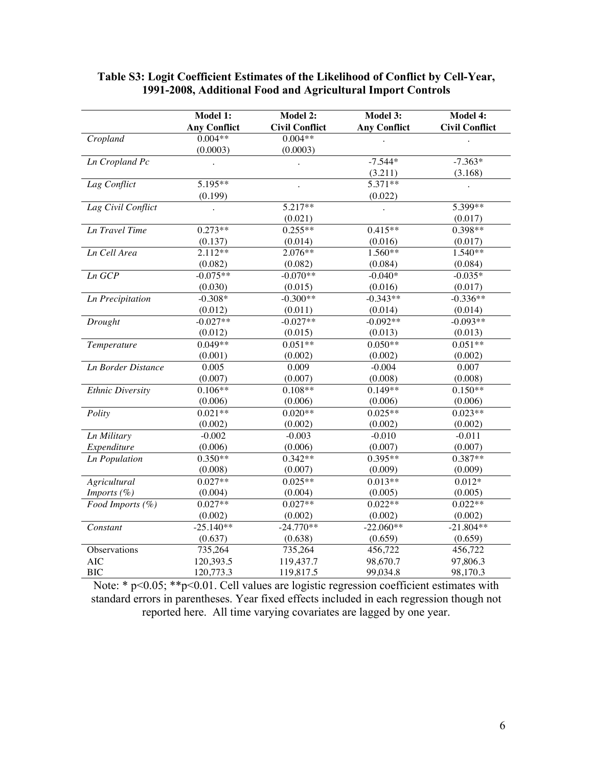|                           | Model 1:            | Model 2:              | Model 3:            | Model 4:              |
|---------------------------|---------------------|-----------------------|---------------------|-----------------------|
|                           | <b>Any Conflict</b> | <b>Civil Conflict</b> | <b>Any Conflict</b> | <b>Civil Conflict</b> |
| Cropland                  | $0.004**$           | $0.004**$             |                     |                       |
|                           | (0.0003)            | (0.0003)              |                     |                       |
| <b>Ln</b> Cropland Pc     |                     |                       | $-7.544*$           | $-7.363*$             |
|                           |                     |                       | (3.211)             | (3.168)               |
| Lag Conflict              | 5.195**             |                       | $5.371**$           |                       |
|                           | (0.199)             |                       | (0.022)             |                       |
| Lag Civil Conflict        |                     | 5.217**               |                     | 5.399**               |
|                           |                     | (0.021)               |                     | (0.017)               |
| <b>Ln</b> Travel Time     | $0.273**$           | $0.255**$             | $0.415**$           | 0.398**               |
|                           | (0.137)             | (0.014)               | (0.016)             | (0.017)               |
| Ln Cell Area              | $2.112**$           | $2.076**$             | $1.560**$           | $1.540**$             |
|                           | (0.082)             | (0.082)               | (0.084)             | (0.084)               |
| Ln GCP                    | $-0.075**$          | $-0.070**$            | $-0.040*$           | $-0.035*$             |
|                           | (0.030)             | (0.015)               | (0.016)             | (0.017)               |
| <b>Ln</b> Precipitation   | $-0.308*$           | $-0.300**$            | $-0.343**$          | $-0.336**$            |
|                           | (0.012)             | (0.011)               | (0.014)             | (0.014)               |
| Drought                   | $-0.027**$          | $-0.027**$            | $-0.092**$          | $-0.093**$            |
|                           | (0.012)             | (0.015)               | (0.013)             | (0.013)               |
| Temperature               | $0.049**$           | $0.051**$             | $0.050**$           | $0.051**$             |
|                           | (0.001)             | (0.002)               | (0.002)             | (0.002)               |
| <b>Ln Border Distance</b> | 0.005               | 0.009                 | $-0.004$            | 0.007                 |
|                           | (0.007)             | (0.007)               | (0.008)             | (0.008)               |
| <b>Ethnic Diversity</b>   | $0.106**$           | $0.108**$             | $0.149**$           | $0.150**$             |
|                           | (0.006)             | (0.006)               | (0.006)             | (0.006)               |
| Polity                    | $0.021**$           | $0.020**$             | $0.025**$           | $0.023**$             |
|                           | (0.002)             | (0.002)               | (0.002)             | (0.002)               |
| Ln Military               | $-0.002$            | $-0.003$              | $-0.010$            | $-0.011$              |
| Expenditure               | (0.006)             | (0.006)               | (0.007)             | (0.007)               |
| <b>Ln Population</b>      | $0.350**$           | $0.342**$             | $0.395**$           | $0.387**$             |
|                           | (0.008)             | (0.007)               | (0.009)             | (0.009)               |
| Agricultural              | $0.027**$           | $0.025**$             | $0.013**$           | $0.012*$              |
| Imports $(\%)$            | (0.004)             | (0.004)               | (0.005)             | (0.005)               |
| Food Imports (%)          | $0.027**$           | $0.027**$             | $0.022**$           | $0.022**$             |
|                           | (0.002)             | (0.002)               | (0.002)             | (0.002)               |
| Constant                  | $-25.140**$         | $-24.770**$           | $-22.060**$         | $-21.804**$           |
|                           | (0.637)             | (0.638)               | (0.659)             | (0.659)               |
| Observations              | 735,264             | 735,264               | 456,722             | 456,722               |
| <b>AIC</b>                | 120,393.5           | 119,437.7             | 98,670.7            | 97,806.3              |
| <b>BIC</b>                | 120,773.3           | 119,817.5             | 99,034.8            | 98,170.3              |

#### **Table S3: Logit Coefficient Estimates of the Likelihood of Conflict by Cell-Year, 1991-2008, Additional Food and Agricultural Import Controls**

Note: \* p<0.05; \*\*p<0.01. Cell values are logistic regression coefficient estimates with standard errors in parentheses. Year fixed effects included in each regression though not reported here. All time varying covariates are lagged by one year.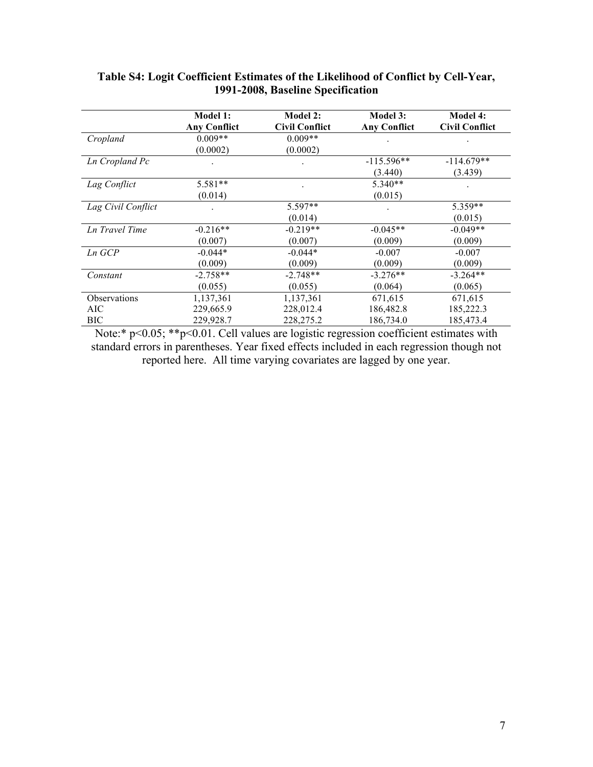|                     | <b>Model 1:</b><br><b>Any Conflict</b> | <b>Model 2:</b><br><b>Civil Conflict</b> | <b>Model 3:</b><br><b>Any Conflict</b> | Model 4:<br><b>Civil Conflict</b> |
|---------------------|----------------------------------------|------------------------------------------|----------------------------------------|-----------------------------------|
| Cropland            | $0.009**$                              | $0.009**$                                |                                        |                                   |
|                     | (0.0002)                               | (0.0002)                                 |                                        |                                   |
| Ln Cropland Pc      |                                        |                                          | $-115.596**$                           | $-114.679**$                      |
|                     |                                        |                                          | (3.440)                                | (3.439)                           |
| Lag Conflict        | $5.581**$                              |                                          | $5.340**$                              |                                   |
|                     | (0.014)                                |                                          | (0.015)                                |                                   |
| Lag Civil Conflict  |                                        | $5.597**$                                |                                        | $5.359**$                         |
|                     |                                        | (0.014)                                  |                                        | (0.015)                           |
| Ln Travel Time      | $-0.216**$                             | $-0.219**$                               | $-0.045**$                             | $-0.049**$                        |
|                     | (0.007)                                | (0.007)                                  | (0.009)                                | (0.009)                           |
| $Ln$ $GCP$          | $-0.044*$                              | $-0.044*$                                | $-0.007$                               | $-0.007$                          |
|                     | (0.009)                                | (0.009)                                  | (0.009)                                | (0.009)                           |
| Constant            | $-2.758**$                             | $-2.748**$                               | $-3.276**$                             | $-3.264**$                        |
|                     | (0.055)                                | (0.055)                                  | (0.064)                                | (0.065)                           |
| <b>Observations</b> | 1,137,361                              | 1,137,361                                | 671,615                                | 671,615                           |
| AIC                 | 229,665.9                              | 228,012.4                                | 186,482.8                              | 185,222.3                         |
| BIC                 | 229,928.7                              | 228, 275. 2                              | 186,734.0                              | 185,473.4                         |

# **Table S4: Logit Coefficient Estimates of the Likelihood of Conflict by Cell-Year, 1991-2008, Baseline Specification**

Note:\*  $p<0.05$ ; \*\* $p<0.01$ . Cell values are logistic regression coefficient estimates with standard errors in parentheses. Year fixed effects included in each regression though not reported here. All time varying covariates are lagged by one year.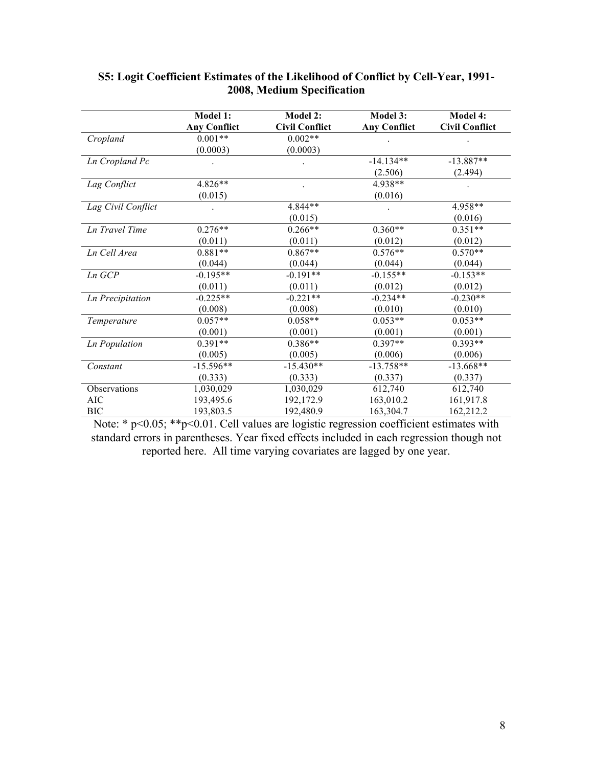|                         | Model 1:            | Model 2:              | Model 3:            | Model 4:              |
|-------------------------|---------------------|-----------------------|---------------------|-----------------------|
|                         | <b>Any Conflict</b> | <b>Civil Conflict</b> | <b>Any Conflict</b> | <b>Civil Conflict</b> |
| Cropland                | $0.001**$           | $0.002**$             |                     |                       |
|                         | (0.0003)            | (0.0003)              |                     |                       |
| Ln Cropland Pc          |                     |                       | $-14.134**$         | $-13.887**$           |
|                         |                     |                       | (2.506)             | (2.494)               |
| Lag Conflict            | 4.826**             |                       | 4.938**             |                       |
|                         | (0.015)             |                       | (0.016)             |                       |
| Lag Civil Conflict      |                     | 4.844**               |                     | 4.958**               |
|                         |                     | (0.015)               |                     | (0.016)               |
| <b>Ln Travel Time</b>   | $0.276**$           | $0.266**$             | $0.360**$           | $0.351**$             |
|                         | (0.011)             | (0.011)               | (0.012)             | (0.012)               |
| Ln Cell Area            | $0.881**$           | $0.867**$             | $0.576**$           | $0.570**$             |
|                         | (0.044)             | (0.044)               | (0.044)             | (0.044)               |
| Ln GCP                  | $-0.195**$          | $-0.191**$            | $-0.155**$          | $-0.153**$            |
|                         | (0.011)             | (0.011)               | (0.012)             | (0.012)               |
| <b>Ln</b> Precipitation | $-0.225**$          | $-0.221**$            | $-0.234**$          | $-0.230**$            |
|                         | (0.008)             | (0.008)               | (0.010)             | (0.010)               |
| Temperature             | $0.057**$           | $0.058**$             | $0.053**$           | $0.053**$             |
|                         | (0.001)             | (0.001)               | (0.001)             | (0.001)               |
| <b>Ln Population</b>    | $0.391**$           | $0.386**$             | $0.397**$           | $0.393**$             |
|                         | (0.005)             | (0.005)               | (0.006)             | (0.006)               |
| Constant                | $-15.596**$         | $-15.430**$           | $-13.758**$         | $-13.668**$           |
|                         | (0.333)             | (0.333)               | (0.337)             | (0.337)               |
| Observations            | 1,030,029           | 1,030,029             | 612,740             | 612,740               |
| AIC                     | 193,495.6           | 192,172.9             | 163,010.2           | 161,917.8             |
| <b>BIC</b>              | 193,803.5           | 192,480.9             | 163,304.7           | 162,212.2             |

### **S5: Logit Coefficient Estimates of the Likelihood of Conflict by Cell-Year, 1991- 2008, Medium Specification**

Note: \* p<0.05; \*\*p<0.01. Cell values are logistic regression coefficient estimates with standard errors in parentheses. Year fixed effects included in each regression though not reported here. All time varying covariates are lagged by one year.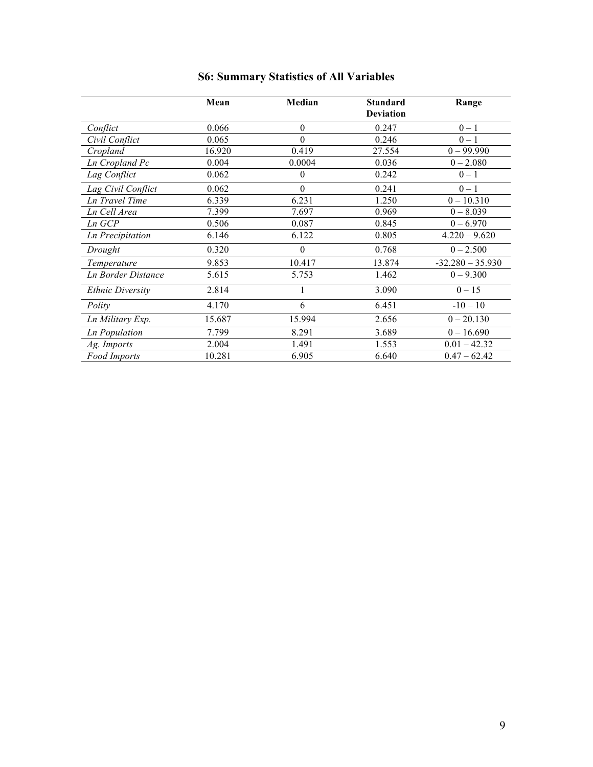|                         | Mean   | Median       | <b>Standard</b><br><b>Deviation</b> | Range              |
|-------------------------|--------|--------------|-------------------------------------|--------------------|
| Conflict                | 0.066  | $\mathbf{0}$ | 0.247                               | $0 - 1$            |
| Civil Conflict          | 0.065  | $\Omega$     | 0.246                               | $0 - 1$            |
| Cropland                | 16.920 | 0.419        | 27.554                              | $0 - 99.990$       |
| Ln Cropland Pc          | 0.004  | 0.0004       | 0.036                               | $0 - 2.080$        |
| Lag Conflict            | 0.062  | $\theta$     | 0.242                               | $0 - 1$            |
| Lag Civil Conflict      | 0.062  | $\theta$     | 0.241                               | $0 - 1$            |
| <b>Ln Travel Time</b>   | 6.339  | 6.231        | 1.250                               | $0 - 10.310$       |
| Ln Cell Area            | 7.399  | 7.697        | 0.969                               | $0 - 8.039$        |
| Ln GCP                  | 0.506  | 0.087        | 0.845                               | $0 - 6.970$        |
| <b>Ln</b> Precipitation | 6.146  | 6.122        | 0.805                               | $4.220 - 9.620$    |
| Drought                 | 0.320  | $\mathbf{0}$ | 0.768                               | $0 - 2.500$        |
| Temperature             | 9.853  | 10.417       | 13.874                              | $-32.280 - 35.930$ |
| Ln Border Distance      | 5.615  | 5.753        | 1.462                               | $0 - 9.300$        |
| <i>Ethnic Diversity</i> | 2.814  |              | 3.090                               | $0 - 15$           |
| Polity                  | 4.170  | 6            | 6.451                               | $-10-10$           |
| Ln Military Exp.        | 15.687 | 15.994       | 2.656                               | $0 - 20.130$       |
| <b>Ln Population</b>    | 7.799  | 8.291        | 3.689                               | $0 - 16.690$       |
| Ag. Imports             | 2.004  | 1.491        | 1.553                               | $0.01 - 42.32$     |
| <b>Food Imports</b>     | 10.281 | 6.905        | 6.640                               | $0.47 - 62.42$     |

# **S6: Summary Statistics of All Variables**